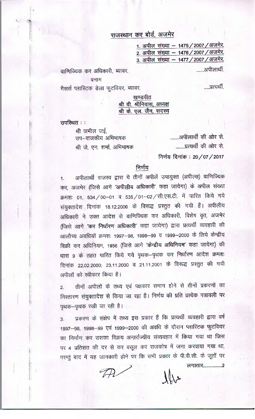## राजस्थान कर बोर्ड, अजमेर

1. अपील संख्या – 1475 / 2007 / अजमेर. 2. अपील संख्या – 1476 / 2007 / अजमेर. 3. अपील संख्या - 1477 / 2007 / अजमेर.

.......अपीलार्थी

.....प्रत्यर्थी.

वाणिज्यिक कर अधिकारी, ब्यावर.

बनाम

मैसर्स प्लास्टिक डेला फुटवियर, ब्यावर.

खण्डपीठ श्री वी. श्रीनिवास, अध्यक्ष श्री के. एल. जैन, सदस्य

उपस्थित ::

श्री जमील जई. .........अपीलार्थी की ओर से. उप–राजकीय अभिभाषक ........प्रत्यर्थी की ओर से. श्री जे. एन. शर्मा, अभिभाषक

निर्णय दिनांक : 20/07/2017

## निर्णय

अपीलार्थी राजस्व द्वारा ये तीनों अपीलें उपायुक्त (अपील्स) वाणिज्यिक कर, अजमेर (जिसे आगे 'अपीलीय अधिकारी' कहा जायेगा) के अपील संख्या क्रमशः 01, 534/00-01 व 535/01-02/सी.एस.टी. में पारित किये गये संयुक्तादेश दिनांक 18.12.2006 के विरूद्ध प्रस्तुत की गयी हैं। अपीलीय अधिकारी ने उक्त आदेश से वाणिज्यिक कर अधिकारी, विशेष वृत, अजमेर (जिसे आगे 'कर निर्धारण अधिकारी' कहा जायेगा) द्वारा प्रत्यर्थी व्यवहारी की आलौच्य अवधियों क्रमशः 1997-98, 1998-99 व 1999-2000 के लिये केन्द्रीय बिक्री कर अधिनियम, 1956 (जिसे आगे 'केन्द्रीय अधिनियम' कहा जायेगा) की धारा ९ के तहत पारित किये गये पृथक-पृथक कर निर्धारण आदेश क्रमशः दिनांक 22.02.2000; 23.11.2000 व 21.11.2001 के विरूद्ध प्रस्तुत की गयी अपीलों को स्वीकार किया है।

तीनों अपीलों के तथ्य एवं पक्षकार समान होने से तीनों प्रकरणों का  $\overline{2}$ . निस्तारण संयुक्तादेश से किया जा रहा है। निर्णय की प्रति प्रत्येक पत्रावली पर पृथक–पृथक रखी जा रही है।

प्रकरण के संक्षेप में तथ्य इस प्रकार हैं कि प्रत्यर्थी व्यवहारी द्वारा वर्ष  $3.$ 1997–98, 1998–99 एवं 1999–2000 की अवधि के दौरान प्लास्टिक फुटवियर का निर्माण कर उसका विक्रय अन्तर्राज्यीय संव्यवहार में किया गया था जिस पर 4 प्रतिशत की दर से कर वसूल कर राजकोष में जमा करवाया गया था, परन्तुं बाद में यह जानकारी होने पर कि सभी प्रकार के पी.वी.सी. के जूतों पर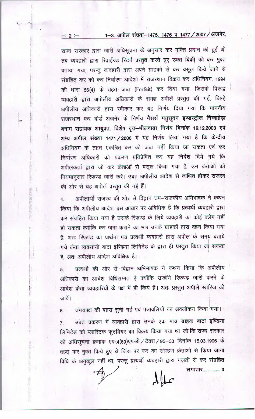## 1-3. अपील संख्या-1475, 1476 व 1477 / 2007 / अजमेर.

राज्य सरकार द्वारा जारी अधिसूचना के अनुसार कर मुक्ति प्रदान की हुई थी तब व्यवहारी द्वारा रिवाईज्ड रिटर्न प्रस्तुत करते हुए उक्त बिक्री को कर मुक्त बताया गया, परन्तु व्यवहारी द्वारा अपने ग्राहकों से कर वसूल किये जाने से संग्रहित कर को कर निर्धारण आदेशों में राजस्थान विक्रय कर अधिनियम, 1994 की धारा 56(4) के तहत जब्त (Forfeit) कर दिया गया, जिसके विरूद्ध व्यवहारी द्वारा अपीलीय अधिकारी के समक्ष अपीलें प्रस्तुत की गईं, जिन्हें अपीलीय अधिकारी द्वारा स्वीकार कर यह निर्णय दिया गया कि माननीय राजस्थान कर बोर्ड अजमेर के निर्णय मैसर्स मधुसूदन इण्डस्ट्रीज निम्बाहेड़ा बनाम सहायक आयुक्त, विशेष वृत्त-भीलवाड़ा निर्णय दिनांक 19.12.2003 एवं अन्य अपील संख्या 1471/2000 में यह निर्णय लिया गया है कि केन्द्रीय अधिनियम के तहत एकत्रित कर को जब्त नहीं किया जा सकता एवं कर निर्धारण अधिकारी को प्रकरण प्रतिप्रेषित कर यह निर्देश दिये गये कि अपीलकर्ता द्वारा जो कर क्रेताओं से वसूल किया गया है, उन क्रेताओं को नियमानुसार रिफण्ड जारी करें। उक्त अपीलीय आदेश से व्यथित होकर राजस्व की ओर से यह अपीलें प्रस्तुत की गई हैं।

 $-: 2 -$ 

अपीलार्थी राजस्व की ओर से विद्वान उप-राजकीय अभिभाषक ने कथन  $\overline{4}$ किया कि अपीलीय आदेश इस आधार पर अविधिक है कि प्रत्यर्थी व्यवहारी द्वारा कर संग्रहित किया गया है उसके रिफण्ड के लिये व्यवहारी का कोई क्लेम नहीं ही सकता क्योंकि कर जमा कराने का भार उनके ग्राहकों द्वारा वहन किया गया है, अतः रिफण्ड का प्रार्थना पत्र प्रत्यर्थी व्यवहारी द्वारा अपील के समय बताये गये क्रेता व्यवसायी बाटा इण्डिया लिमिटेड के द्वारा ही प्रस्तुत किया जा सकता है, अतः अपीलीय आदेश अविधिक है।

प्रत्यर्थी की ओर से विद्वान अभिभाषक ने कथन किया कि अपीलीय 5. अधिकारी का आदेश विधिसम्मत है क्योंकि उन्होंने रिफण्ड जारी करने के आदेश क्रेता व्यवहारियों के पक्ष में ही किये हैं। अतः प्रस्तुत अपीलें खारिज की जावें।

उभयपक्ष की बहस सुनी गई एवं पत्रावलियों का अवलोकन किया गया। 6. उक्त प्रकरण में व्यवहारी द्वारा उनके एक मात्र ग्राहक बाटा इण्डिया  $\overline{7}$ . लिमिटेड को प्लास्टिक फुटवियर का विक्रय किया गया था जो कि राज्य सरकार की अधिसूचना क्रमांक एफ.4(69)एफडी / टैक्स / 95-33 दिनांक 15.03.1996 के तहत् कर मुक्त किये हुए थे जिस पर कर का संग्रहण क्रेताओं से किया जाना विधि के अनुकूल नहीं था, परन्तु प्रत्यर्थी व्यवहारी द्वारा गलती से कर संग्रहित लगातार.................3

 $\lambda\mu$